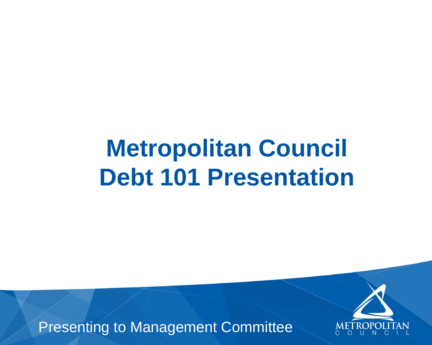### **Metropolitan Council Debt 101 Presentation**

Presenting to Management Committee

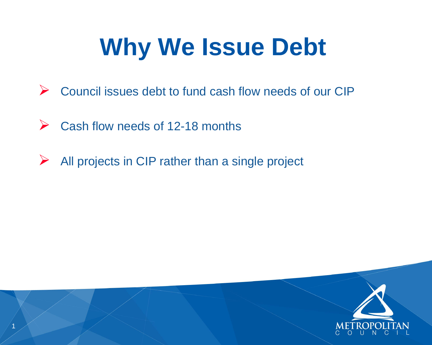# **Why We Issue Debt**

- ➢ Council issues debt to fund cash flow needs of our CIP
- ➢ Cash flow needs of 12-18 months
- ➢ All projects in CIP rather than a single project



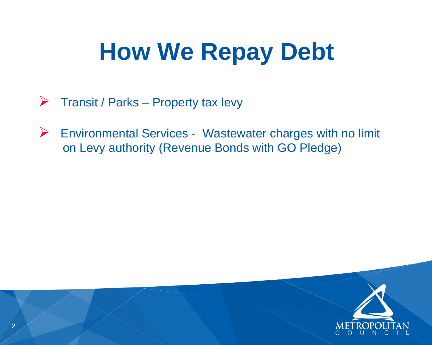- ➢ Transit / Parks Property tax levy
- ➢ Environmental Services Wastewater charges with no limit on Levy authority (Revenue Bonds with GO Pledge)

# **How We Repay Debt**



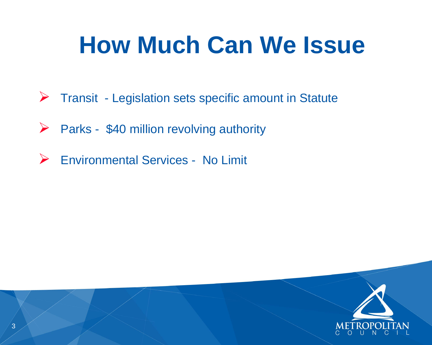## **How Much Can We Issue**



- ➢ Parks \$40 million revolving authority
- ➢ Environmental Services No Limit



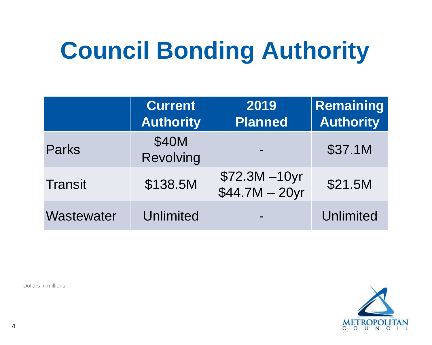# **Council Bonding Authority**

Dollars in millions

### **Remaining Authority**

#### \$37.1M

### \$21.5M

### Unlimited



|                | <b>Current</b><br><b>Authority</b> | 2019<br><b>Planned</b>         |
|----------------|------------------------------------|--------------------------------|
| <b>Parks</b>   | \$40M<br>Revolving                 |                                |
| <b>Transit</b> | \$138.5M                           | \$72.3M -10yr<br>$$44.7M - 20$ |
| Wastewater     | <b>Unlimited</b>                   |                                |

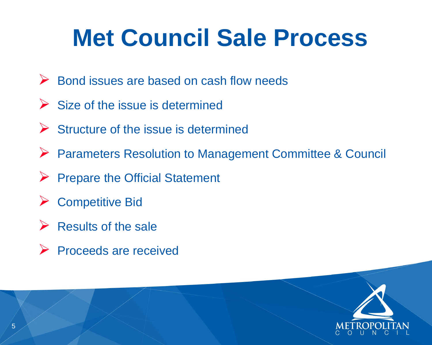## **Met Council Sale Process**

- ➢ Bond issues are based on cash flow needs
- $\triangleright$  Size of the issue is determined
- ➢ Structure of the issue is determined
- ➢ Parameters Resolution to Management Committee & Council
- ➢ Prepare the Official Statement
- ➢ Competitive Bid
- $\triangleright$  Results of the sale
- ➢ Proceeds are received



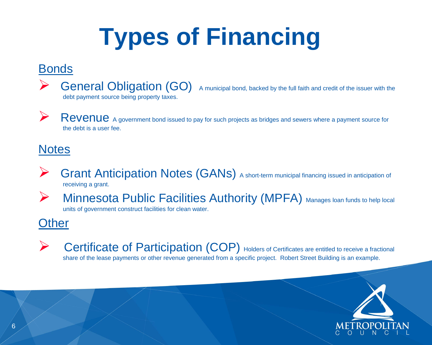# **Types of Financing**

#### Bonds



General Obligation (GO) A municipal bond, backed by the full faith and credit of the issuer with the

debt payment source being property taxes.



Revenue A government bond issued to pay for such projects as bridges and sewers where a payment source for the debt is a user fee.

#### **Notes**

- Grant Anticipation Notes (GANs) A short-term municipal financing issued in anticipation of receiving a grant.
- 
- **Minnesota Public Facilities Authority (MPFA)** Manages Ioan funds to help local

**Example 20 Certificate of Participation (COP)** Holders of Certificates are entitled to receive a fractional share of the lease payments or other revenue generated from a specific project. Robert Street Building is an example.

units of government construct facilities for clean water.

**Other** 







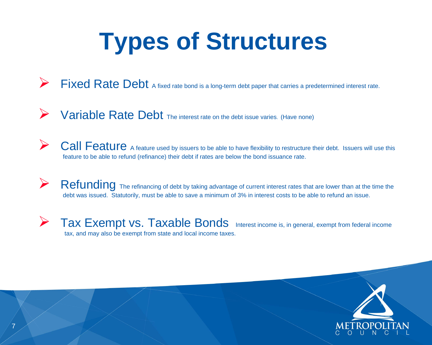## **Types of Structures**

- Fixed Rate Debt A fixed rate bond is a long-term debt paper that carries a predetermined interest rate.
- Variable Rate Debt The interest rate on the debt issue varies. (Have none)
- Call Feature A feature used by issuers to be able to have flexibility to restructure their debt. Issuers will use this feature to be able to refund (refinance) their debt if rates are below the bond issuance rate.
- **PERICIOUS** The refinancing of debt by taking advantage of current interest rates that are lower than at the time the debt was issued. Statutorily, must be able to save a minimum of 3% in interest costs to be able to refund an issue.
- $\triangleright$  Tax Exempt vs. Taxable Bonds Interest income is, in general, exempt from federal income tax, and may also be exempt from state and local income taxes.





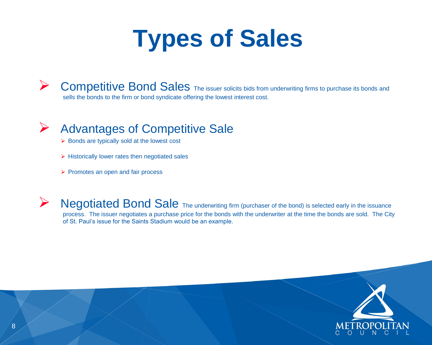## **Types of Sales**



**Competitive Bond Sales** The issuer solicits bids from underwriting firms to purchase its bonds and sells the bonds to the firm or bond syndicate offering the lowest interest cost.



#### ➢ Advantages of Competitive Sale

- ➢ Bonds are typically sold at the lowest cost
- ➢ Historically lower rates then negotiated sales
- ➢ Promotes an open and fair process

Negotiated Bond Sale The underwriting firm (purchaser of the bond) is selected early in the issuance process. The issuer negotiates a purchase price for the bonds with the underwriter at the time the bonds are sold. The City of St. Paul's issue for the Saints Stadium would be an example.

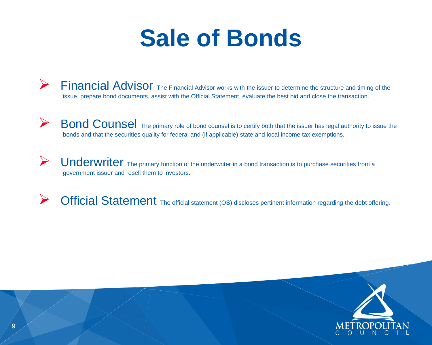### **Sale of Bonds**

- **Financial Advisor** The Financial Advisor works with the issuer to determine the structure and timing of the issue, prepare bond documents, assist with the Official Statement, evaluate the best bid and close the transaction.
- **Bond Counsel** The primary role of bond counsel is to certify both that the issuer has legal authority to issue the bonds and that the securities quality for federal and (if applicable) state and local income tax exemptions.
- **Dnderwriter** The primary function of the underwriter in a bond transaction is to purchase securities from a government issuer and resell them to investors.
- Official Statement The official statement (OS) discloses pertinent information regarding the debt offering.

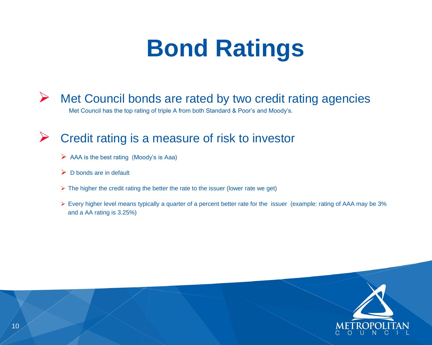## **Bond Ratings**



Met Council has the top rating of triple A from both Standard & Poor's and Moody's.

#### ➢ Credit rating is a measure of risk to investor

- $\triangleright$  AAA is the best rating (Moody's is Aaa)
- $\triangleright$  D bonds are in default
- $\triangleright$  The higher the credit rating the better the rate to the issuer (lower rate we get)
- ➢ Every higher level means typically a quarter of a percent better rate for the issuer (example: rating of AAA may be 3% and a AA rating is 3.25%)

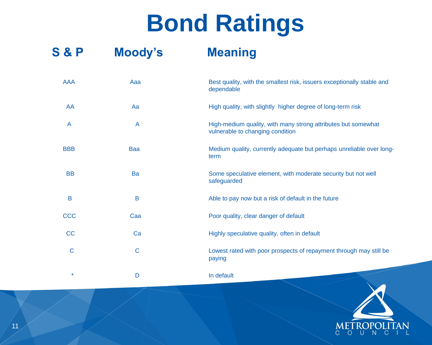### **Bond Ratings**

### **S & P Moody's Meaning**

| <b>AAA</b>  | Aaa          | Best quality, with the smallest risk, issuer<br>dependable                   |
|-------------|--------------|------------------------------------------------------------------------------|
| AA          | Aa           | High quality, with slightly higher degree of                                 |
| A           | $\mathsf{A}$ | High-medium quality, with many strong at<br>vulnerable to changing condition |
| <b>BBB</b>  | <b>Baa</b>   | Medium quality, currently adequate but po<br>term                            |
| <b>BB</b>   | Ba           | Some speculative element, with moderate<br>safeguarded                       |
| B           | B            | Able to pay now but a risk of default in the                                 |
| CCC         | Caa          | Poor quality, clear danger of default                                        |
| CC          | Ca           | Highly speculative quality, often in default                                 |
| $\mathsf C$ | $\mathbf C$  | Lowest rated with poor prospects of repay<br>paying                          |
| $\star$     | D            | In default                                                                   |

#### ssuers exceptionally stable and

- an Aas en Aaa Bigh quality with the sum that the sum of long-term risk
- a a A High-medium quality and the post of the many strong attributes but somewhat
- but perhaps unreliable over long-
- derate security but not well
- $\overline{\mathbf{a}}$  in the future
- 
- 
- repayment through may still be

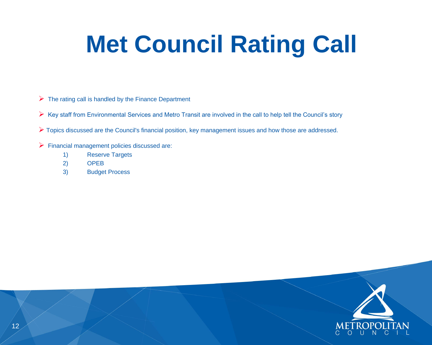## **Met Council Rating Call**

- $\triangleright$  The rating call is handled by the Finance Department
- ➢ Key staff from Environmental Services and Metro Transit are involved in the call to help tell the Council's story
- ➢ Topics discussed are the Council's financial position, key management issues and how those are addressed.
- ➢ Financial management policies discussed are:
	- 1) Reserve Targets
	- 2) OPEB
	- 3) Budget Process



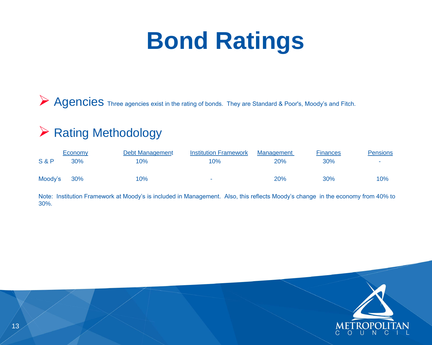## **Bond Ratings**

Agencies Three agencies exist in the rating of bonds. They are Standard & Poor's, Moody's and Fitch.

#### ➢ Rating Methodology

|                | Economy | Debt Management | <b>Institution Framework</b> | Management | <b>Finances</b> | <b>Pensions</b> |
|----------------|---------|-----------------|------------------------------|------------|-----------------|-----------------|
| <b>S&amp;P</b> | 30%     | $10\%$          | 10%                          | 20%        | 30%             | $\sim$          |
| Moody's        | $30\%$  | $10\%$          | <b>Contract Contract</b>     | 20%        | 30%             | 10%             |

Note: Institution Framework at Moody's is included in Management. Also, this reflects Moody's change in the economy from 40% to 30%.

| <b>Inances</b> | Pensions |
|----------------|----------|
| 30%            |          |
|                |          |

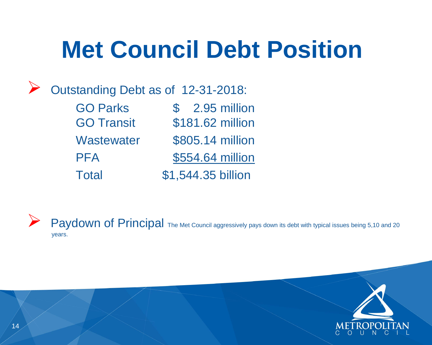GO Parks  $\qquad \qquad$  \$ 2.95 million GO Transit \$181.62 million Wastewater \$805.14 million PFA \$554.64 million Total \$1,544.35 billion

Paydown of Principal The Met Council aggressively pays down its debt with typical issues being 5,10 and 20 years.

## **Met Council Debt Position**



Outstanding Debt as of 12-31-2018: